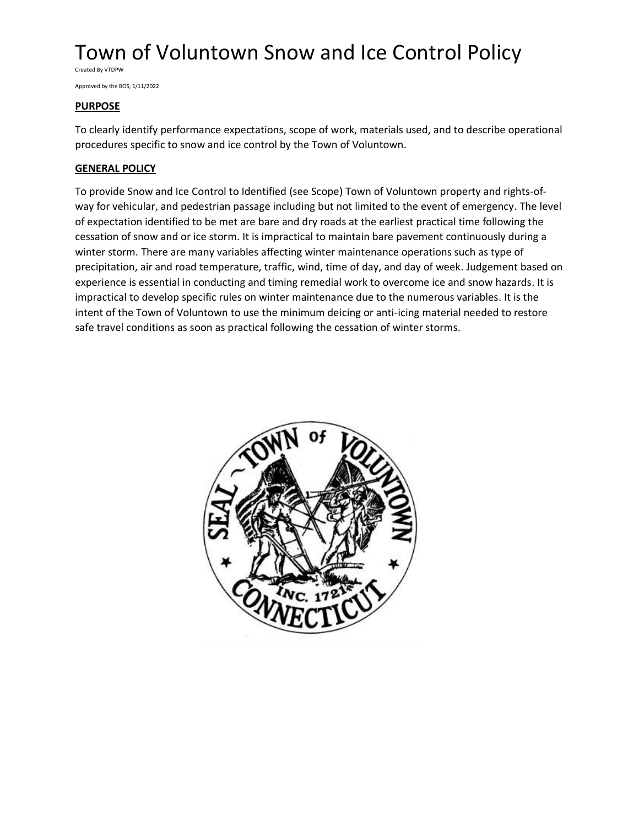Created By VTDPW

Approved by the BOS, 1/11/2022

## **PURPOSE**

To clearly identify performance expectations, scope of work, materials used, and to describe operational procedures specific to snow and ice control by the Town of Voluntown.

## **GENERAL POLICY**

To provide Snow and Ice Control to Identified (see Scope) Town of Voluntown property and rights-ofway for vehicular, and pedestrian passage including but not limited to the event of emergency. The level of expectation identified to be met are bare and dry roads at the earliest practical time following the cessation of snow and or ice storm. It is impractical to maintain bare pavement continuously during a winter storm. There are many variables affecting winter maintenance operations such as type of precipitation, air and road temperature, traffic, wind, time of day, and day of week. Judgement based on experience is essential in conducting and timing remedial work to overcome ice and snow hazards. It is impractical to develop specific rules on winter maintenance due to the numerous variables. It is the intent of the Town of Voluntown to use the minimum deicing or anti-icing material needed to restore safe travel conditions as soon as practical following the cessation of winter storms.

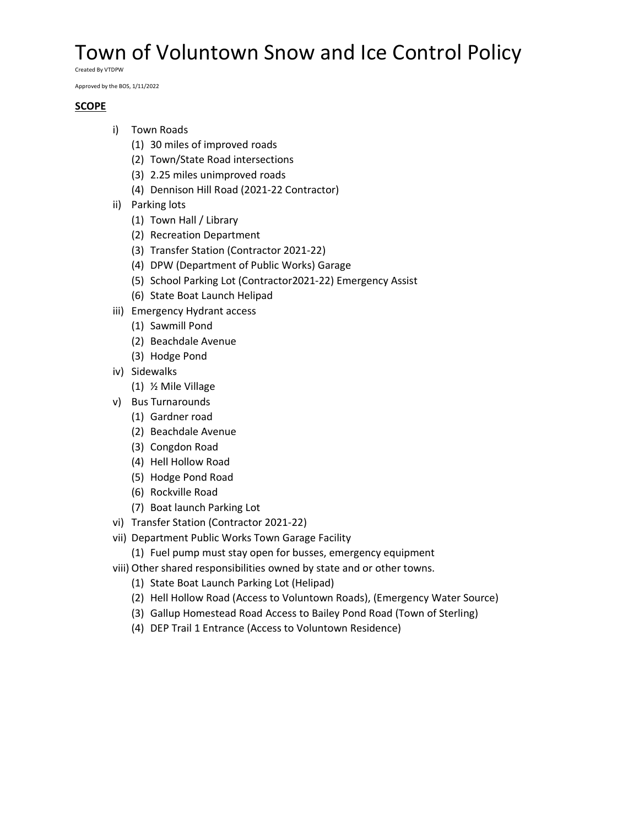Created By VTDPW

Approved by the BOS, 1/11/2022

## **SCOPE**

- i) Town Roads
	- (1) 30 miles of improved roads
	- (2) Town/State Road intersections
	- (3) 2.25 miles unimproved roads
	- (4) Dennison Hill Road (2021-22 Contractor)
- ii) Parking lots
	- (1) Town Hall / Library
	- (2) Recreation Department
	- (3) Transfer Station (Contractor 2021-22)
	- (4) DPW (Department of Public Works) Garage
	- (5) School Parking Lot (Contractor2021-22) Emergency Assist
	- (6) State Boat Launch Helipad
- iii) Emergency Hydrant access
	- (1) Sawmill Pond
	- (2) Beachdale Avenue
	- (3) Hodge Pond
- iv) Sidewalks
	- (1) ½ Mile Village
- v) Bus Turnarounds
	- (1) Gardner road
	- (2) Beachdale Avenue
	- (3) Congdon Road
	- (4) Hell Hollow Road
	- (5) Hodge Pond Road
	- (6) Rockville Road
	- (7) Boat launch Parking Lot
- vi) Transfer Station (Contractor 2021-22)
- vii) Department Public Works Town Garage Facility
	- (1) Fuel pump must stay open for busses, emergency equipment
- viii) Other shared responsibilities owned by state and or other towns.
	- (1) State Boat Launch Parking Lot (Helipad)
	- (2) Hell Hollow Road (Access to Voluntown Roads), (Emergency Water Source)
	- (3) Gallup Homestead Road Access to Bailey Pond Road (Town of Sterling)
	- (4) DEP Trail 1 Entrance (Access to Voluntown Residence)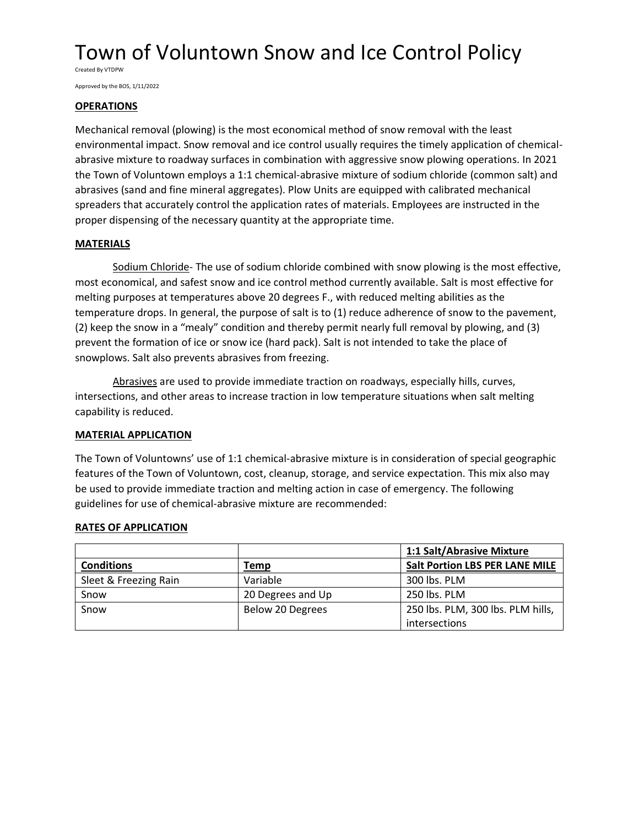Created By VTDPW

Approved by the BOS, 1/11/2022

### **OPERATIONS**

Mechanical removal (plowing) is the most economical method of snow removal with the least environmental impact. Snow removal and ice control usually requires the timely application of chemicalabrasive mixture to roadway surfaces in combination with aggressive snow plowing operations. In 2021 the Town of Voluntown employs a 1:1 chemical-abrasive mixture of sodium chloride (common salt) and abrasives (sand and fine mineral aggregates). Plow Units are equipped with calibrated mechanical spreaders that accurately control the application rates of materials. Employees are instructed in the proper dispensing of the necessary quantity at the appropriate time.

## **MATERIALS**

Sodium Chloride- The use of sodium chloride combined with snow plowing is the most effective, most economical, and safest snow and ice control method currently available. Salt is most effective for melting purposes at temperatures above 20 degrees F., with reduced melting abilities as the temperature drops. In general, the purpose of salt is to (1) reduce adherence of snow to the pavement, (2) keep the snow in a "mealy" condition and thereby permit nearly full removal by plowing, and (3) prevent the formation of ice or snow ice (hard pack). Salt is not intended to take the place of snowplows. Salt also prevents abrasives from freezing.

Abrasives are used to provide immediate traction on roadways, especially hills, curves, intersections, and other areas to increase traction in low temperature situations when salt melting capability is reduced.

## **MATERIAL APPLICATION**

The Town of Voluntowns' use of 1:1 chemical-abrasive mixture is in consideration of special geographic features of the Town of Voluntown, cost, cleanup, storage, and service expectation. This mix also may be used to provide immediate traction and melting action in case of emergency. The following guidelines for use of chemical-abrasive mixture are recommended:

## **RATES OF APPLICATION**

|                       |                   | 1:1 Salt/Abrasive Mixture             |  |
|-----------------------|-------------------|---------------------------------------|--|
| <b>Conditions</b>     | Temp              | <b>Salt Portion LBS PER LANE MILE</b> |  |
| Sleet & Freezing Rain | Variable          | 300 lbs. PLM                          |  |
| Snow                  | 20 Degrees and Up | 250 lbs. PLM                          |  |
| Snow                  | Below 20 Degrees  | 250 lbs. PLM, 300 lbs. PLM hills,     |  |
|                       |                   | intersections                         |  |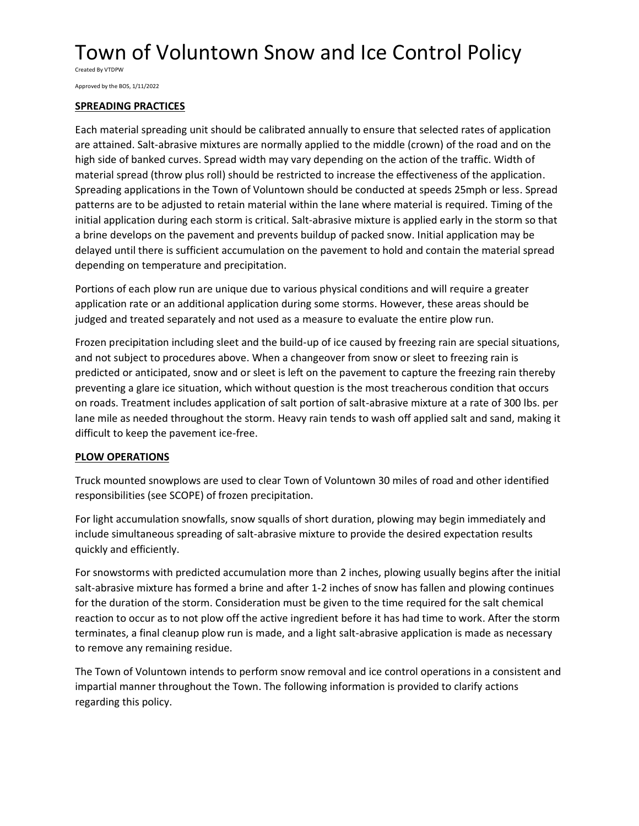Created By VTDPW

Approved by the BOS, 1/11/2022

## **SPREADING PRACTICES**

Each material spreading unit should be calibrated annually to ensure that selected rates of application are attained. Salt-abrasive mixtures are normally applied to the middle (crown) of the road and on the high side of banked curves. Spread width may vary depending on the action of the traffic. Width of material spread (throw plus roll) should be restricted to increase the effectiveness of the application. Spreading applications in the Town of Voluntown should be conducted at speeds 25mph or less. Spread patterns are to be adjusted to retain material within the lane where material is required. Timing of the initial application during each storm is critical. Salt-abrasive mixture is applied early in the storm so that a brine develops on the pavement and prevents buildup of packed snow. Initial application may be delayed until there is sufficient accumulation on the pavement to hold and contain the material spread depending on temperature and precipitation.

Portions of each plow run are unique due to various physical conditions and will require a greater application rate or an additional application during some storms. However, these areas should be judged and treated separately and not used as a measure to evaluate the entire plow run.

Frozen precipitation including sleet and the build-up of ice caused by freezing rain are special situations, and not subject to procedures above. When a changeover from snow or sleet to freezing rain is predicted or anticipated, snow and or sleet is left on the pavement to capture the freezing rain thereby preventing a glare ice situation, which without question is the most treacherous condition that occurs on roads. Treatment includes application of salt portion of salt-abrasive mixture at a rate of 300 lbs. per lane mile as needed throughout the storm. Heavy rain tends to wash off applied salt and sand, making it difficult to keep the pavement ice-free.

## **PLOW OPERATIONS**

Truck mounted snowplows are used to clear Town of Voluntown 30 miles of road and other identified responsibilities (see SCOPE) of frozen precipitation.

For light accumulation snowfalls, snow squalls of short duration, plowing may begin immediately and include simultaneous spreading of salt-abrasive mixture to provide the desired expectation results quickly and efficiently.

For snowstorms with predicted accumulation more than 2 inches, plowing usually begins after the initial salt-abrasive mixture has formed a brine and after 1-2 inches of snow has fallen and plowing continues for the duration of the storm. Consideration must be given to the time required for the salt chemical reaction to occur as to not plow off the active ingredient before it has had time to work. After the storm terminates, a final cleanup plow run is made, and a light salt-abrasive application is made as necessary to remove any remaining residue.

The Town of Voluntown intends to perform snow removal and ice control operations in a consistent and impartial manner throughout the Town. The following information is provided to clarify actions regarding this policy.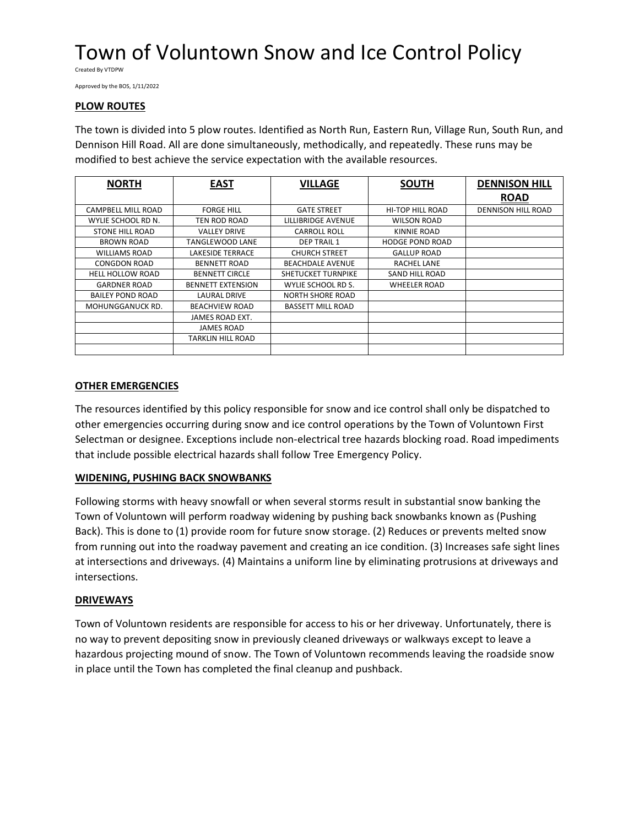Created By VTDPW

Approved by the BOS, 1/11/2022

## **PLOW ROUTES**

The town is divided into 5 plow routes. Identified as North Run, Eastern Run, Village Run, South Run, and Dennison Hill Road. All are done simultaneously, methodically, and repeatedly. These runs may be modified to best achieve the service expectation with the available resources.

| <b>NORTH</b>            | <b>EAST</b>              | <b>VILLAGE</b>           | <b>SOUTH</b>            | <b>DENNISON HILL</b>      |
|-------------------------|--------------------------|--------------------------|-------------------------|---------------------------|
|                         |                          |                          |                         | <b>ROAD</b>               |
| CAMPBELL MILL ROAD      | <b>FORGE HILL</b>        | <b>GATE STREET</b>       | <b>HI-TOP HILL ROAD</b> | <b>DENNISON HILL ROAD</b> |
| WYLIE SCHOOL RD N.      | TEN ROD ROAD             | LILLIBRIDGE AVENUE       | <b>WILSON ROAD</b>      |                           |
| <b>STONE HILL ROAD</b>  | <b>VALLEY DRIVE</b>      | <b>CARROLL ROLL</b>      | KINNIE ROAD             |                           |
| <b>BROWN ROAD</b>       | TANGLEWOOD LANE          | <b>DEP TRAIL 1</b>       | <b>HODGE POND ROAD</b>  |                           |
| <b>WILLIAMS ROAD</b>    | <b>LAKESIDE TERRACE</b>  | <b>CHURCH STREET</b>     | <b>GALLUP ROAD</b>      |                           |
| <b>CONGDON ROAD</b>     | <b>BENNETT ROAD</b>      | <b>BEACHDALE AVENUE</b>  | <b>RACHEL LANE</b>      |                           |
| <b>HELL HOLLOW ROAD</b> | <b>BENNETT CIRCLE</b>    | SHETUCKET TURNPIKE       | <b>SAND HILL ROAD</b>   |                           |
| <b>GARDNER ROAD</b>     | <b>BENNETT EXTENSION</b> | WYLIE SCHOOL RD S.       | <b>WHEELER ROAD</b>     |                           |
| <b>BAILEY POND ROAD</b> | LAURAL DRIVE             | <b>NORTH SHORE ROAD</b>  |                         |                           |
| MOHUNGGANUCK RD.        | <b>BEACHVIEW ROAD</b>    | <b>BASSETT MILL ROAD</b> |                         |                           |
|                         | JAMES ROAD EXT.          |                          |                         |                           |
|                         | <b>JAMES ROAD</b>        |                          |                         |                           |
|                         | TARKLIN HILL ROAD        |                          |                         |                           |
|                         |                          |                          |                         |                           |

## **OTHER EMERGENCIES**

The resources identified by this policy responsible for snow and ice control shall only be dispatched to other emergencies occurring during snow and ice control operations by the Town of Voluntown First Selectman or designee. Exceptions include non-electrical tree hazards blocking road. Road impediments that include possible electrical hazards shall follow Tree Emergency Policy.

## **WIDENING, PUSHING BACK SNOWBANKS**

Following storms with heavy snowfall or when several storms result in substantial snow banking the Town of Voluntown will perform roadway widening by pushing back snowbanks known as (Pushing Back). This is done to (1) provide room for future snow storage. (2) Reduces or prevents melted snow from running out into the roadway pavement and creating an ice condition. (3) Increases safe sight lines at intersections and driveways. (4) Maintains a uniform line by eliminating protrusions at driveways and intersections.

#### **DRIVEWAYS**

Town of Voluntown residents are responsible for access to his or her driveway. Unfortunately, there is no way to prevent depositing snow in previously cleaned driveways or walkways except to leave a hazardous projecting mound of snow. The Town of Voluntown recommends leaving the roadside snow in place until the Town has completed the final cleanup and pushback.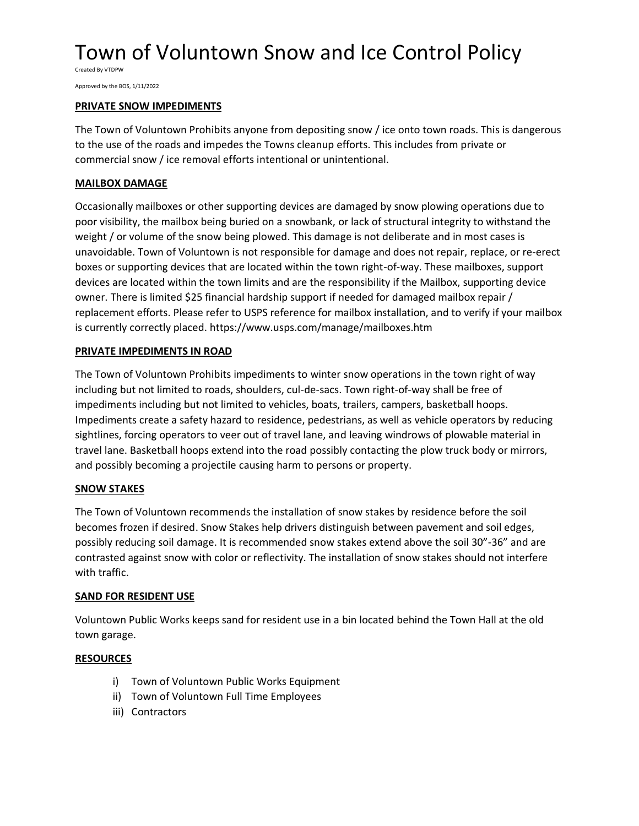Created By VTDPW

Approved by the BOS, 1/11/2022

### **PRIVATE SNOW IMPEDIMENTS**

The Town of Voluntown Prohibits anyone from depositing snow / ice onto town roads. This is dangerous to the use of the roads and impedes the Towns cleanup efforts. This includes from private or commercial snow / ice removal efforts intentional or unintentional.

## **MAILBOX DAMAGE**

Occasionally mailboxes or other supporting devices are damaged by snow plowing operations due to poor visibility, the mailbox being buried on a snowbank, or lack of structural integrity to withstand the weight / or volume of the snow being plowed. This damage is not deliberate and in most cases is unavoidable. Town of Voluntown is not responsible for damage and does not repair, replace, or re-erect boxes or supporting devices that are located within the town right-of-way. These mailboxes, support devices are located within the town limits and are the responsibility if the Mailbox, supporting device owner. There is limited \$25 financial hardship support if needed for damaged mailbox repair / replacement efforts. Please refer to USPS reference for mailbox installation, and to verify if your mailbox is currently correctly placed. https://www.usps.com/manage/mailboxes.htm

#### **PRIVATE IMPEDIMENTS IN ROAD**

The Town of Voluntown Prohibits impediments to winter snow operations in the town right of way including but not limited to roads, shoulders, cul-de-sacs. Town right-of-way shall be free of impediments including but not limited to vehicles, boats, trailers, campers, basketball hoops. Impediments create a safety hazard to residence, pedestrians, as well as vehicle operators by reducing sightlines, forcing operators to veer out of travel lane, and leaving windrows of plowable material in travel lane. Basketball hoops extend into the road possibly contacting the plow truck body or mirrors, and possibly becoming a projectile causing harm to persons or property.

## **SNOW STAKES**

The Town of Voluntown recommends the installation of snow stakes by residence before the soil becomes frozen if desired. Snow Stakes help drivers distinguish between pavement and soil edges, possibly reducing soil damage. It is recommended snow stakes extend above the soil 30"-36" and are contrasted against snow with color or reflectivity. The installation of snow stakes should not interfere with traffic.

#### **SAND FOR RESIDENT USE**

Voluntown Public Works keeps sand for resident use in a bin located behind the Town Hall at the old town garage.

#### **RESOURCES**

- i) Town of Voluntown Public Works Equipment
- ii) Town of Voluntown Full Time Employees
- iii) Contractors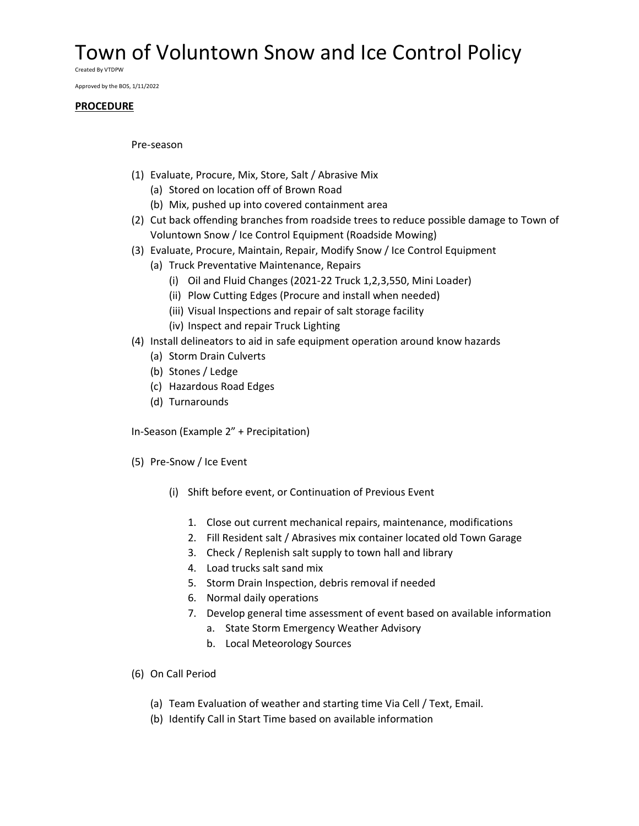Created By VTDPW

Approved by the BOS, 1/11/2022

#### **PROCEDURE**

#### Pre-season

- (1) Evaluate, Procure, Mix, Store, Salt / Abrasive Mix
	- (a) Stored on location off of Brown Road
	- (b) Mix, pushed up into covered containment area
- (2) Cut back offending branches from roadside trees to reduce possible damage to Town of Voluntown Snow / Ice Control Equipment (Roadside Mowing)
- (3) Evaluate, Procure, Maintain, Repair, Modify Snow / Ice Control Equipment
	- (a) Truck Preventative Maintenance, Repairs
		- (i) Oil and Fluid Changes (2021-22 Truck 1,2,3,550, Mini Loader)
		- (ii) Plow Cutting Edges (Procure and install when needed)
		- (iii) Visual Inspections and repair of salt storage facility
		- (iv) Inspect and repair Truck Lighting
- (4) Install delineators to aid in safe equipment operation around know hazards
	- (a) Storm Drain Culverts
	- (b) Stones / Ledge
	- (c) Hazardous Road Edges
	- (d) Turnarounds

In-Season (Example 2" + Precipitation)

- (5) Pre-Snow / Ice Event
	- (i) Shift before event, or Continuation of Previous Event
		- 1. Close out current mechanical repairs, maintenance, modifications
		- 2. Fill Resident salt / Abrasives mix container located old Town Garage
		- 3. Check / Replenish salt supply to town hall and library
		- 4. Load trucks salt sand mix
		- 5. Storm Drain Inspection, debris removal if needed
		- 6. Normal daily operations
		- 7. Develop general time assessment of event based on available information
			- a. State Storm Emergency Weather Advisory
			- b. Local Meteorology Sources
- (6) On Call Period
	- (a) Team Evaluation of weather and starting time Via Cell / Text, Email.
	- (b) Identify Call in Start Time based on available information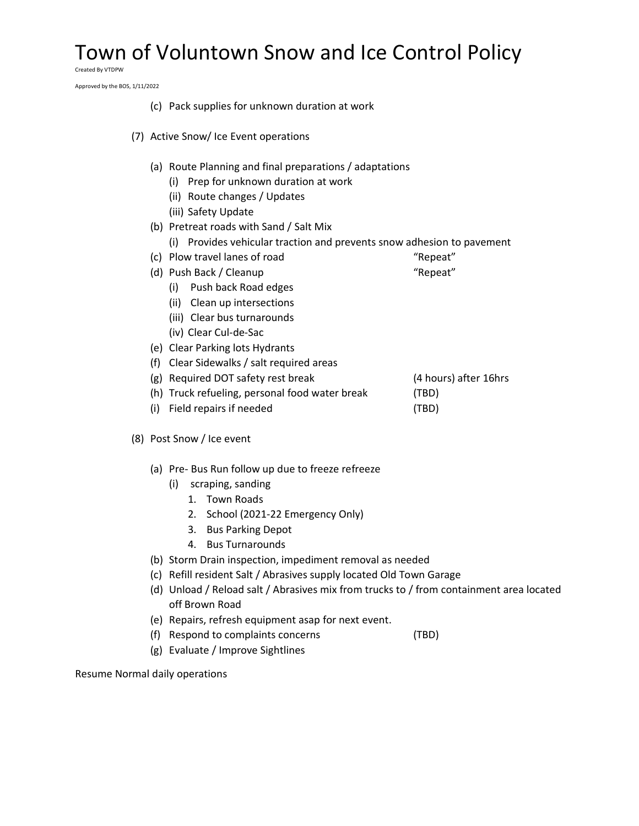Created By VTDPW

Approved by the BOS, 1/11/2022

|     | (c) Pack supplies for unknown duration at work                                                                                  |                       |  |  |  |
|-----|---------------------------------------------------------------------------------------------------------------------------------|-----------------------|--|--|--|
|     | (7) Active Snow/ Ice Event operations                                                                                           |                       |  |  |  |
|     | (a) Route Planning and final preparations / adaptations                                                                         |                       |  |  |  |
|     | (i) Prep for unknown duration at work                                                                                           |                       |  |  |  |
|     | (ii) Route changes / Updates                                                                                                    |                       |  |  |  |
|     | (iii) Safety Update                                                                                                             |                       |  |  |  |
|     | (b) Pretreat roads with Sand / Salt Mix                                                                                         |                       |  |  |  |
|     | (i) Provides vehicular traction and prevents snow adhesion to pavement                                                          |                       |  |  |  |
|     | (c) Plow travel lanes of road                                                                                                   | "Repeat"              |  |  |  |
|     | (d) Push Back / Cleanup<br>(i) Push back Road edges                                                                             | "Repeat"              |  |  |  |
|     | (ii) Clean up intersections                                                                                                     |                       |  |  |  |
|     | (iii) Clear bus turnarounds                                                                                                     |                       |  |  |  |
|     | (iv) Clear Cul-de-Sac                                                                                                           |                       |  |  |  |
|     | (e) Clear Parking lots Hydrants                                                                                                 |                       |  |  |  |
| (f) | Clear Sidewalks / salt required areas                                                                                           |                       |  |  |  |
|     | (g) Required DOT safety rest break                                                                                              | (4 hours) after 16hrs |  |  |  |
|     | (h) Truck refueling, personal food water break                                                                                  | (TBD)                 |  |  |  |
| (i) | Field repairs if needed                                                                                                         | (TBD)                 |  |  |  |
|     | (8) Post Snow / Ice event                                                                                                       |                       |  |  |  |
|     | (a) Pre- Bus Run follow up due to freeze refreeze                                                                               |                       |  |  |  |
|     | scraping, sanding<br>(i)                                                                                                        |                       |  |  |  |
|     | 1. Town Roads                                                                                                                   |                       |  |  |  |
|     | 2. School (2021-22 Emergency Only)                                                                                              |                       |  |  |  |
|     | <b>Bus Parking Depot</b><br>3.                                                                                                  |                       |  |  |  |
|     | <b>Bus Turnarounds</b><br>4.                                                                                                    |                       |  |  |  |
|     | (b) Storm Drain inspection, impediment removal as needed<br>(c) Refill resident Salt / Abrasives supply located Old Town Garage |                       |  |  |  |
|     |                                                                                                                                 |                       |  |  |  |
|     | (d) Unload / Reload salt / Abrasives mix from trucks to / from containment area located<br>off Brown Road                       |                       |  |  |  |
|     | (e) Repairs, refresh equipment asap for next event.                                                                             |                       |  |  |  |
| (f) | Respond to complaints concerns                                                                                                  | (TBD)                 |  |  |  |
| (g) | Evaluate / Improve Sightlines                                                                                                   |                       |  |  |  |

Resume Normal daily operations